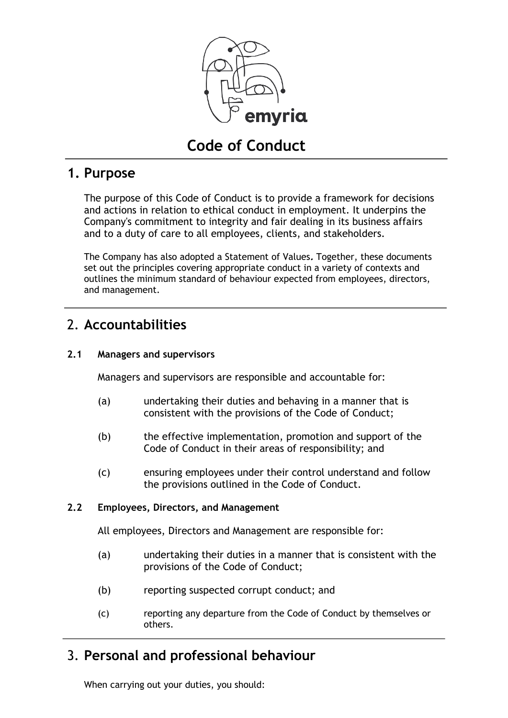

# **Code of Conduct**

#### **1. Purpose**

The purpose of this Code of Conduct is to provide a framework for decisions and actions in relation to ethical conduct in employment. It underpins the Company's commitment to integrity and fair dealing in its business affairs and to a duty of care to all employees, clients, and stakeholders.

The Company has also adopted a Statement of Values**.** Together, these documents set out the principles covering appropriate conduct in a variety of contexts and outlines the minimum standard of behaviour expected from employees, directors, and management.

# 2. **Accountabilities**

#### **2.1 Managers and supervisors**

Managers and supervisors are responsible and accountable for:

- (a) undertaking their duties and behaving in a manner that is consistent with the provisions of the Code of Conduct;
- (b) the effective implementation, promotion and support of the Code of Conduct in their areas of responsibility; and
- (c) ensuring employees under their control understand and follow the provisions outlined in the Code of Conduct.

#### **2.2 Employees, Directors, and Management**

All employees, Directors and Management are responsible for:

- (a) undertaking their duties in a manner that is consistent with the provisions of the Code of Conduct;
- (b) reporting suspected corrupt conduct; and
- (c) reporting any departure from the Code of Conduct by themselves or others.

# 3. **Personal and professional behaviour**

When carrying out your duties, you should: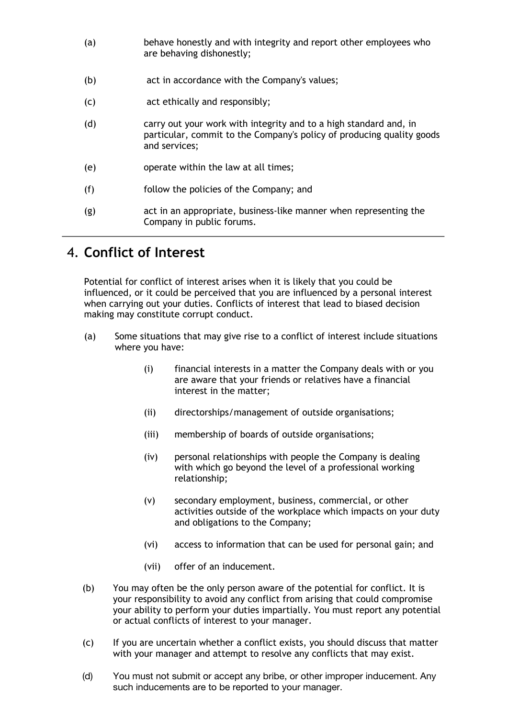- (a) behave honestly and with integrity and report other employees who are behaving dishonestly;
- (b) act in accordance with the Company's values;
- (c) act ethically and responsibly;
- (d) carry out your work with integrity and to a high standard and, in particular, commit to the Company's policy of producing quality goods and services;
- (e) operate within the law at all times;
- (f) follow the policies of the Company; and
- (g) act in an appropriate, business-like manner when representing the Company in public forums.

#### 4. **Conflict of Interest**

Potential for conflict of interest arises when it is likely that you could be influenced, or it could be perceived that you are influenced by a personal interest when carrying out your duties. Conflicts of interest that lead to biased decision making may constitute corrupt conduct.

- (a) Some situations that may give rise to a conflict of interest include situations where you have:
	- (i) financial interests in a matter the Company deals with or you are aware that your friends or relatives have a financial interest in the matter;
	- (ii) directorships/management of outside organisations;
	- (iii) membership of boards of outside organisations;
	- (iv) personal relationships with people the Company is dealing with which go beyond the level of a professional working relationship;
	- (v) secondary employment, business, commercial, or other activities outside of the workplace which impacts on your duty and obligations to the Company;
	- (vi) access to information that can be used for personal gain; and
	- (vii) offer of an inducement.
- (b) You may often be the only person aware of the potential for conflict. It is your responsibility to avoid any conflict from arising that could compromise your ability to perform your duties impartially. You must report any potential or actual conflicts of interest to your manager.
- (c) If you are uncertain whether a conflict exists, you should discuss that matter with your manager and attempt to resolve any conflicts that may exist.
- (d) You must not submit or accept any bribe, or other improper inducement. Any such inducements are to be reported to your manager.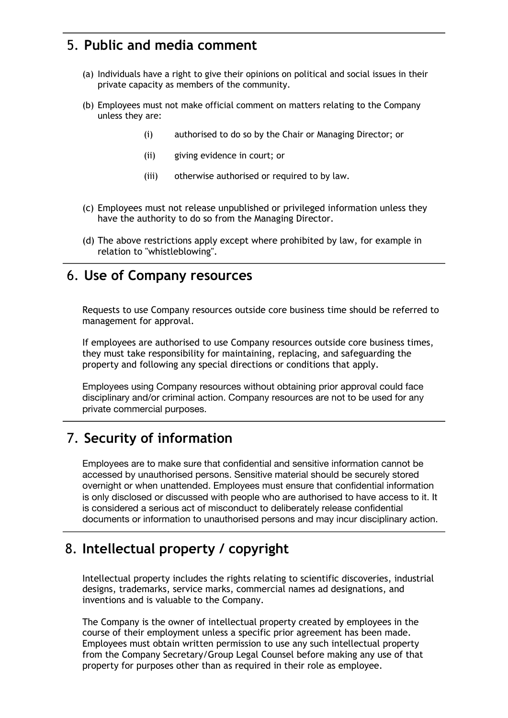# 5. **Public and media comment**

- (a) Individuals have a right to give their opinions on political and social issues in their private capacity as members of the community.
- (b) Employees must not make official comment on matters relating to the Company unless they are:
	- (i) authorised to do so by the Chair or Managing Director; or
	- (ii) giving evidence in court; or
	- (iii) otherwise authorised or required to by law.
- (c) Employees must not release unpublished or privileged information unless they have the authority to do so from the Managing Director.
- (d) The above restrictions apply except where prohibited by law, for example in relation to "whistleblowing".

#### 6. **Use of Company resources**

Requests to use Company resources outside core business time should be referred to management for approval.

If employees are authorised to use Company resources outside core business times, they must take responsibility for maintaining, replacing, and safeguarding the property and following any special directions or conditions that apply.

Employees using Company resources without obtaining prior approval could face disciplinary and/or criminal action. Company resources are not to be used for any private commercial purposes.

### 7. **Security of information**

Employees are to make sure that confidential and sensitive information cannot be accessed by unauthorised persons. Sensitive material should be securely stored overnight or when unattended. Employees must ensure that confidential information is only disclosed or discussed with people who are authorised to have access to it. It is considered a serious act of misconduct to deliberately release confidential documents or information to unauthorised persons and may incur disciplinary action.

### 8. **Intellectual property / copyright**

Intellectual property includes the rights relating to scientific discoveries, industrial designs, trademarks, service marks, commercial names ad designations, and inventions and is valuable to the Company.

The Company is the owner of intellectual property created by employees in the course of their employment unless a specific prior agreement has been made. Employees must obtain written permission to use any such intellectual property from the Company Secretary/Group Legal Counsel before making any use of that property for purposes other than as required in their role as employee.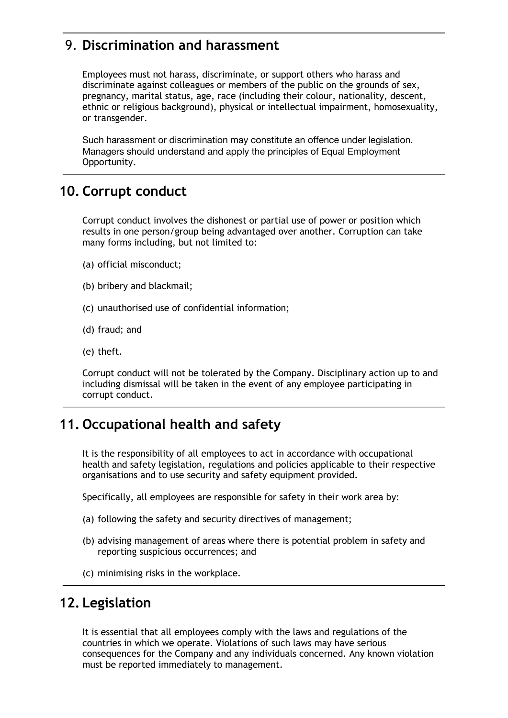# 9. **Discrimination and harassment**

Employees must not harass, discriminate, or support others who harass and discriminate against colleagues or members of the public on the grounds of sex, pregnancy, marital status, age, race (including their colour, nationality, descent, ethnic or religious background), physical or intellectual impairment, homosexuality, or transgender.

Such harassment or discrimination may constitute an offence under legislation. Managers should understand and apply the principles of Equal Employment Opportunity.

#### **10. Corrupt conduct**

Corrupt conduct involves the dishonest or partial use of power or position which results in one person/group being advantaged over another. Corruption can take many forms including, but not limited to:

- (a) official misconduct;
- (b) bribery and blackmail;
- (c) unauthorised use of confidential information;
- (d) fraud; and
- (e) theft.

Corrupt conduct will not be tolerated by the Company. Disciplinary action up to and including dismissal will be taken in the event of any employee participating in corrupt conduct.

# **11. Occupational health and safety**

It is the responsibility of all employees to act in accordance with occupational health and safety legislation, regulations and policies applicable to their respective organisations and to use security and safety equipment provided.

Specifically, all employees are responsible for safety in their work area by:

- (a) following the safety and security directives of management;
- (b) advising management of areas where there is potential problem in safety and reporting suspicious occurrences; and
- (c) minimising risks in the workplace.

### **12. Legislation**

It is essential that all employees comply with the laws and regulations of the countries in which we operate. Violations of such laws may have serious consequences for the Company and any individuals concerned. Any known violation must be reported immediately to management.